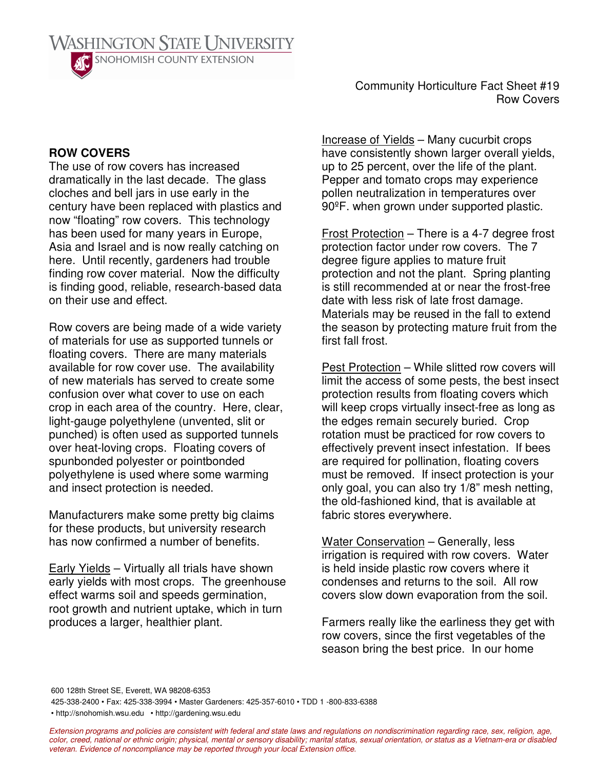

Community Horticulture Fact Sheet #19 Row Covers

## **ROW COVERS**

The use of row covers has increased dramatically in the last decade. The glass cloches and bell jars in use early in the century have been replaced with plastics and now "floating" row covers. This technology has been used for many years in Europe, Asia and Israel and is now really catching on here. Until recently, gardeners had trouble finding row cover material. Now the difficulty is finding good, reliable, research-based data on their use and effect.

Row covers are being made of a wide variety of materials for use as supported tunnels or floating covers. There are many materials available for row cover use. The availability of new materials has served to create some confusion over what cover to use on each crop in each area of the country. Here, clear, light-gauge polyethylene (unvented, slit or punched) is often used as supported tunnels over heat-loving crops. Floating covers of spunbonded polyester or pointbonded polyethylene is used where some warming and insect protection is needed.

Manufacturers make some pretty big claims for these products, but university research has now confirmed a number of benefits.

Early Yields – Virtually all trials have shown early yields with most crops. The greenhouse effect warms soil and speeds germination, root growth and nutrient uptake, which in turn produces a larger, healthier plant.

Increase of Yields – Many cucurbit crops have consistently shown larger overall yields, up to 25 percent, over the life of the plant. Pepper and tomato crops may experience pollen neutralization in temperatures over 90ºF. when grown under supported plastic.

Frost Protection – There is a 4-7 degree frost protection factor under row covers. The 7 degree figure applies to mature fruit protection and not the plant. Spring planting is still recommended at or near the frost-free date with less risk of late frost damage. Materials may be reused in the fall to extend the season by protecting mature fruit from the first fall frost.

Pest Protection – While slitted row covers will limit the access of some pests, the best insect protection results from floating covers which will keep crops virtually insect-free as long as the edges remain securely buried. Crop rotation must be practiced for row covers to effectively prevent insect infestation. If bees are required for pollination, floating covers must be removed. If insect protection is your only goal, you can also try 1/8" mesh netting, the old-fashioned kind, that is available at fabric stores everywhere.

Water Conservation – Generally, less irrigation is required with row covers. Water is held inside plastic row covers where it condenses and returns to the soil. All row covers slow down evaporation from the soil.

Farmers really like the earliness they get with row covers, since the first vegetables of the season bring the best price. In our home

600 128th Street SE, Everett, WA 98208-6353

425-338-2400 • Fax: 425-338-3994 • Master Gardeners: 425-357-6010 • TDD 1 -800-833-6388

• http://snohomish.wsu.edu • http://gardening.wsu.edu

Extension programs and policies are consistent with federal and state laws and regulations on nondiscrimination regarding race, sex, religion, age, color, creed, national or ethnic origin; physical, mental or sensory disability; marital status, sexual orientation, or status as a Vietnam-era or disabled *veteran. Evidence of noncompliance may be reported through your local Extension office.*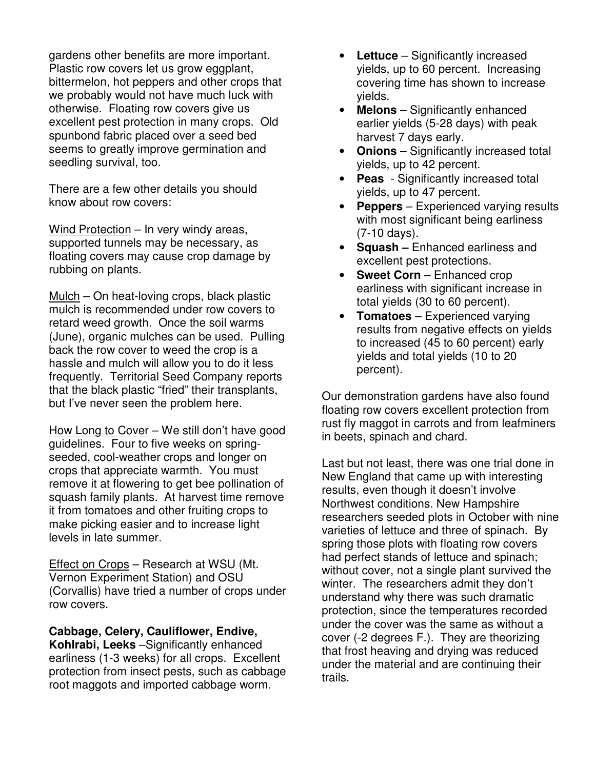gardens other benefits are more important. Plastic row covers let us grow eggplant, bittermelon, hot peppers and other crops that we probably would not have much luck with otherwise. Floating row covers give us excellent pest protection in many crops. Old spunbond fabric placed over a seed bed seems to greatly improve germination and seedling survival, too.

There are a few other details you should know about row covers:

Wind Protection – In very windy areas, supported tunnels may be necessary, as floating covers may cause crop damage by rubbing on plants.

Mulch – On heat-loving crops, black plastic mulch is recommended under row covers to retard weed growth. Once the soil warms (June), organic mulches can be used. Pulling back the row cover to weed the crop is a hassle and mulch will allow you to do it less frequently. Territorial Seed Company reports that the black plastic "fried" their transplants, but I've never seen the problem here.

How Long to Cover – We still don't have good guidelines. Four to five weeks on springseeded, cool-weather crops and longer on crops that appreciate warmth. You must remove it at flowering to get bee pollination of squash family plants. At harvest time remove it from tomatoes and other fruiting crops to make picking easier and to increase light levels in late summer.

Effect on Crops – Research at WSU (Mt. Vernon Experiment Station) and OSU (Corvallis) have tried a number of crops under row covers.

**Cabbage, Celery, Cauliflower, Endive, Kohlrabi, Leeks** –Significantly enhanced

earliness (1-3 weeks) for all crops. Excellent protection from insect pests, such as cabbage root maggots and imported cabbage worm.

- **Lettuce** Significantly increased yields, up to 60 percent. Increasing covering time has shown to increase yields.
- **Melons** Significantly enhanced earlier yields (5-28 days) with peak harvest 7 days early.
- **Onions** Significantly increased total yields, up to 42 percent.
- **Peas** Significantly increased total yields, up to 47 percent.
- **Peppers** Experienced varying results with most significant being earliness (7-10 days).
- **Squash –** Enhanced earliness and excellent pest protections.
- **Sweet Corn** Enhanced crop earliness with significant increase in total yields (30 to 60 percent).
- **Tomatoes** Experienced varying results from negative effects on yields to increased (45 to 60 percent) early yields and total yields (10 to 20 percent).

Our demonstration gardens have also found floating row covers excellent protection from rust fly maggot in carrots and from leafminers in beets, spinach and chard.

Last but not least, there was one trial done in New England that came up with interesting results, even though it doesn't involve Northwest conditions. New Hampshire researchers seeded plots in October with nine varieties of lettuce and three of spinach. By spring those plots with floating row covers had perfect stands of lettuce and spinach; without cover, not a single plant survived the winter. The researchers admit they don't understand why there was such dramatic protection, since the temperatures recorded under the cover was the same as without a cover (-2 degrees F.). They are theorizing that frost heaving and drying was reduced under the material and are continuing their trails.